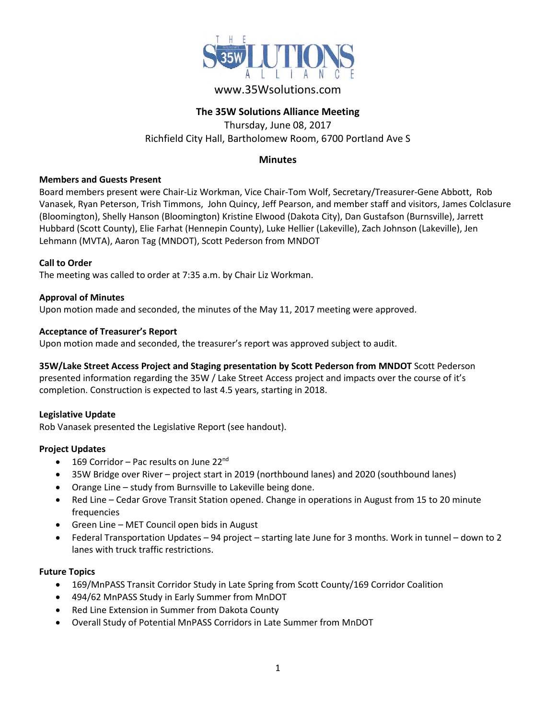

## www.35Wsolutions.com

### **The 35W Solutions Alliance Meeting**

Thursday, June 08, 2017 Richfield City Hall, Bartholomew Room, 6700 Portland Ave S

### **Minutes**

#### **Members and Guests Present**

Board members present were Chair-Liz Workman, Vice Chair-Tom Wolf, Secretary/Treasurer-Gene Abbott, Rob Vanasek, Ryan Peterson, Trish Timmons, John Quincy, Jeff Pearson, and member staff and visitors, James Colclasure (Bloomington), Shelly Hanson (Bloomington) Kristine Elwood (Dakota City), Dan Gustafson (Burnsville), Jarrett Hubbard (Scott County), Elie Farhat (Hennepin County), Luke Hellier (Lakeville), Zach Johnson (Lakeville), Jen Lehmann (MVTA), Aaron Tag (MNDOT), Scott Pederson from MNDOT

### **Call to Order**

The meeting was called to order at 7:35 a.m. by Chair Liz Workman.

#### **Approval of Minutes**

Upon motion made and seconded, the minutes of the May 11, 2017 meeting were approved.

### **Acceptance of Treasurer's Report**

Upon motion made and seconded, the treasurer's report was approved subject to audit.

### **35W/Lake Street Access Project and Staging presentation by Scott Pederson from MNDOT** Scott Pederson

presented information regarding the 35W / Lake Street Access project and impacts over the course of it's completion. Construction is expected to last 4.5 years, starting in 2018.

### **Legislative Update**

Rob Vanasek presented the Legislative Report (see handout).

### **Project Updates**

- $\bullet$  169 Corridor Pac results on June 22<sup>nd</sup>
- 35W Bridge over River project start in 2019 (northbound lanes) and 2020 (southbound lanes)
- Orange Line study from Burnsville to Lakeville being done.
- Red Line Cedar Grove Transit Station opened. Change in operations in August from 15 to 20 minute frequencies
- Green Line MET Council open bids in August
- Federal Transportation Updates 94 project starting late June for 3 months. Work in tunnel down to 2 lanes with truck traffic restrictions.

### **Future Topics**

- 169/MnPASS Transit Corridor Study in Late Spring from Scott County/169 Corridor Coalition
- 494/62 MnPASS Study in Early Summer from MnDOT
- Red Line Extension in Summer from Dakota County
- Overall Study of Potential MnPASS Corridors in Late Summer from MnDOT